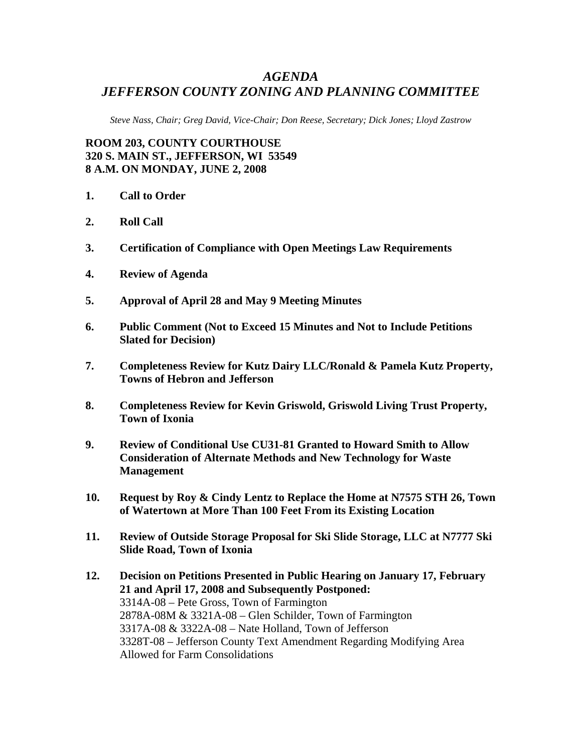# *AGENDA JEFFERSON COUNTY ZONING AND PLANNING COMMITTEE*

*Steve Nass, Chair; Greg David, Vice-Chair; Don Reese, Secretary; Dick Jones; Lloyd Zastrow* 

**ROOM 203, COUNTY COURTHOUSE 320 S. MAIN ST., JEFFERSON, WI 53549 8 A.M. ON MONDAY, JUNE 2, 2008** 

- **1. Call to Order**
- **2. Roll Call**
- **3. Certification of Compliance with Open Meetings Law Requirements**
- **4. Review of Agenda**
- **5. Approval of April 28 and May 9 Meeting Minutes**
- **6. Public Comment (Not to Exceed 15 Minutes and Not to Include Petitions Slated for Decision)**
- **7. Completeness Review for Kutz Dairy LLC/Ronald & Pamela Kutz Property, Towns of Hebron and Jefferson**
- **8. Completeness Review for Kevin Griswold, Griswold Living Trust Property, Town of Ixonia**
- **9. Review of Conditional Use CU31-81 Granted to Howard Smith to Allow Consideration of Alternate Methods and New Technology for Waste Management**
- **10. Request by Roy & Cindy Lentz to Replace the Home at N7575 STH 26, Town of Watertown at More Than 100 Feet From its Existing Location**
- **11. Review of Outside Storage Proposal for Ski Slide Storage, LLC at N7777 Ski Slide Road, Town of Ixonia**
- **12. Decision on Petitions Presented in Public Hearing on January 17, February 21 and April 17, 2008 and Subsequently Postponed:**  3314A-08 – Pete Gross, Town of Farmington 2878A-08M & 3321A-08 – Glen Schilder, Town of Farmington 3317A-08 & 3322A-08 – Nate Holland, Town of Jefferson 3328T-08 – Jefferson County Text Amendment Regarding Modifying Area Allowed for Farm Consolidations